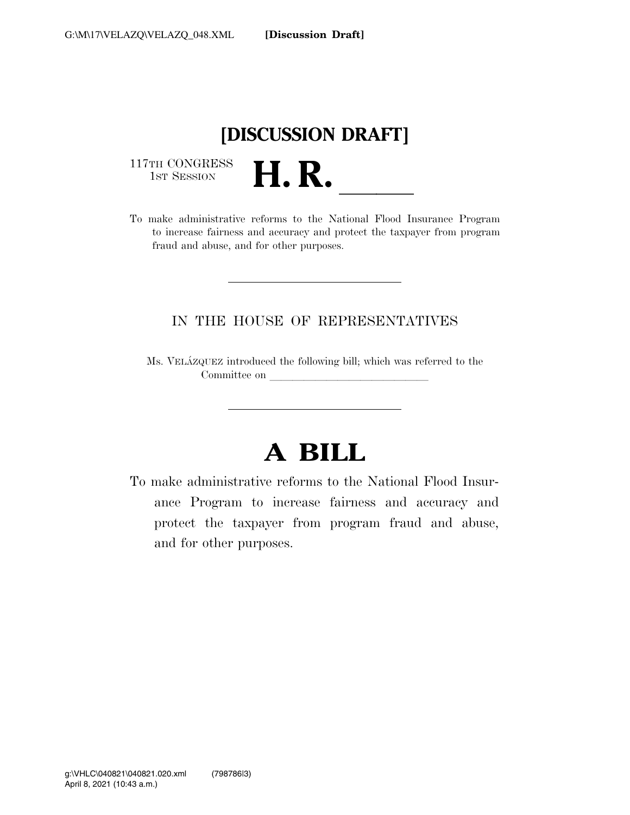## **[DISCUSSION DRAFT]**

117TH CONGRESS<br>1st Session

117TH CONGRESS<br>1st SESSION **H. R.** <u>Insurance Program</u><br>To make administrative reforms to the National Flood Insurance Program to increase fairness and accuracy and protect the taxpayer from program fraud and abuse, and for other purposes.

#### IN THE HOUSE OF REPRESENTATIVES

Ms. VELA´ZQUEZ introduced the following bill; which was referred to the Committee on later and later than  $\sim$ 

# **A BILL**

To make administrative reforms to the National Flood Insurance Program to increase fairness and accuracy and protect the taxpayer from program fraud and abuse, and for other purposes.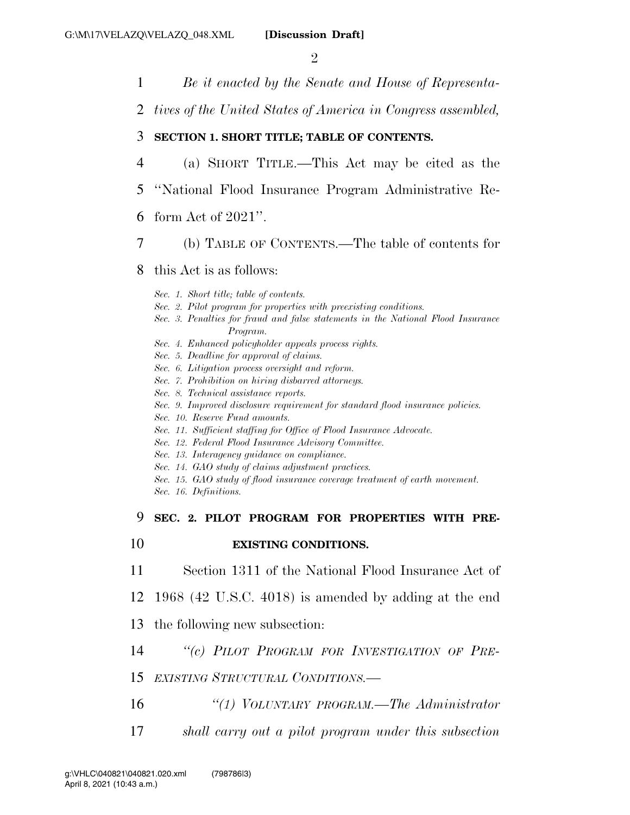$\mathfrak{D}$ 

- 1 *Be it enacted by the Senate and House of Representa-*
- 2 *tives of the United States of America in Congress assembled,*

#### 3 **SECTION 1. SHORT TITLE; TABLE OF CONTENTS.**

- 4 (a) SHORT TITLE.—This Act may be cited as the
- 5 ''National Flood Insurance Program Administrative Re-

#### 6 form Act of 2021''.

7 (b) TABLE OF CONTENTS.—The table of contents for

#### 8 this Act is as follows:

*Sec. 1. Short title; table of contents.* 

- *Sec. 2. Pilot program for properties with preexisting conditions.*
- *Sec. 3. Penalties for fraud and false statements in the National Flood Insurance Program.*
- *Sec. 4. Enhanced policyholder appeals process rights.*
- *Sec. 5. Deadline for approval of claims.*
- *Sec. 6. Litigation process oversight and reform.*
- *Sec. 7. Prohibition on hiring disbarred attorneys.*
- *Sec. 8. Technical assistance reports.*
- *Sec. 9. Improved disclosure requirement for standard flood insurance policies.*
- *Sec. 10. Reserve Fund amounts.*
- *Sec. 11. Sufficient staffing for Office of Flood Insurance Advocate.*
- *Sec. 12. Federal Flood Insurance Advisory Committee.*
- *Sec. 13. Interagency guidance on compliance.*
- *Sec. 14. GAO study of claims adjustment practices.*
- *Sec. 15. GAO study of flood insurance coverage treatment of earth movement.*
- *Sec. 16. Definitions.*

#### 9 **SEC. 2. PILOT PROGRAM FOR PROPERTIES WITH PRE-**

#### 10 **EXISTING CONDITIONS.**

11 Section 1311 of the National Flood Insurance Act of

12 1968 (42 U.S.C. 4018) is amended by adding at the end

- 13 the following new subsection:
- 14 *''(c) PILOT PROGRAM FOR INVESTIGATION OF PRE-*
- 15 *EXISTING STRUCTURAL CONDITIONS.—*
- 16 *''(1) VOLUNTARY PROGRAM.—The Administrator*
- 17 *shall carry out a pilot program under this subsection*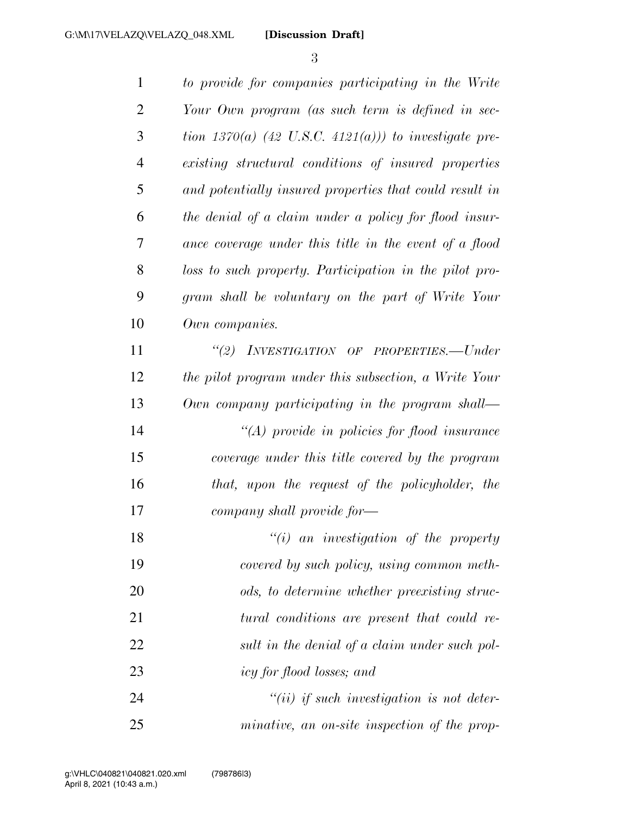*to provide for companies participating in the Write Your Own program (as such term is defined in sec- tion 1370(a) (42 U.S.C. 4121(a))) to investigate pre- existing structural conditions of insured properties and potentially insured properties that could result in the denial of a claim under a policy for flood insur- ance coverage under this title in the event of a flood loss to such property. Participation in the pilot pro- gram shall be voluntary on the part of Write Your Own companies. ''(2) INVESTIGATION OF PROPERTIES.—Under the pilot program under this subsection, a Write Your Own company participating in the program shall— ''(A) provide in policies for flood insurance coverage under this title covered by the program that, upon the request of the policyholder, the company shall provide for— ''(i) an investigation of the property covered by such policy, using common meth- ods, to determine whether preexisting struc- tural conditions are present that could re- sult in the denial of a claim under such pol- icy for flood losses; and ''(ii) if such investigation is not deter-minative, an on-site inspection of the prop-*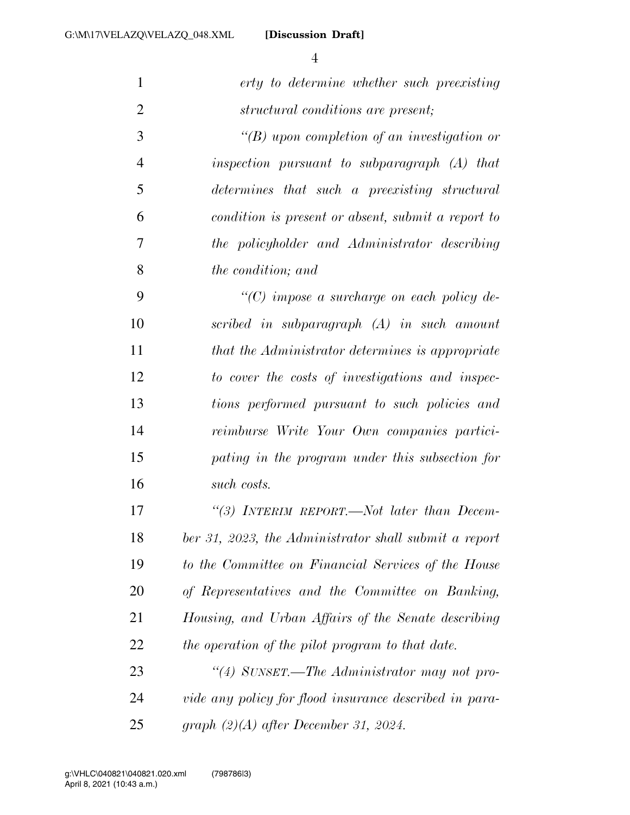**[Discussion Draft]** 

| $\mathbf{1}$   | erty to determine whether such preexisting             |
|----------------|--------------------------------------------------------|
| $\overline{2}$ | structural conditions are present;                     |
| 3              | "(B) upon completion of an investigation or            |
| $\overline{4}$ | inspection pursuant to subparagraph $(A)$ that         |
| 5              | determines that such a preexisting structural          |
| 6              | condition is present or absent, submit a report to     |
| 7              | the policyholder and Administrator describing          |
| 8              | the condition; and                                     |
| 9              | $\lq\lq$ (C) impose a surcharge on each policy de-     |
| 10             | scribed in subparagraph (A) in such amount             |
| 11             | that the Administrator determines is appropriate       |
| 12             | to cover the costs of investigations and inspec-       |
| 13             | tions performed pursuant to such policies and          |
| 14             | reimburse Write Your Own companies partici-            |
| 15             | pating in the program under this subsection for        |
| 16             | such costs.                                            |
| 17             | "(3) INTERIM REPORT.—Not later than Decem-             |
| 18             | ber 31, 2023, the Administrator shall submit a report  |
| 19             | to the Committee on Financial Services of the House    |
| 20             | of Representatives and the Committee on Banking,       |
| 21             | Housing, and Urban Affairs of the Senate describing    |
| 22             | the operation of the pilot program to that date.       |
| 23             | "(4) SUNSET.—The Administrator may not pro-            |
| 24             | vide any policy for flood insurance described in para- |
| 25             | graph $(2)(A)$ after December 31, 2024.                |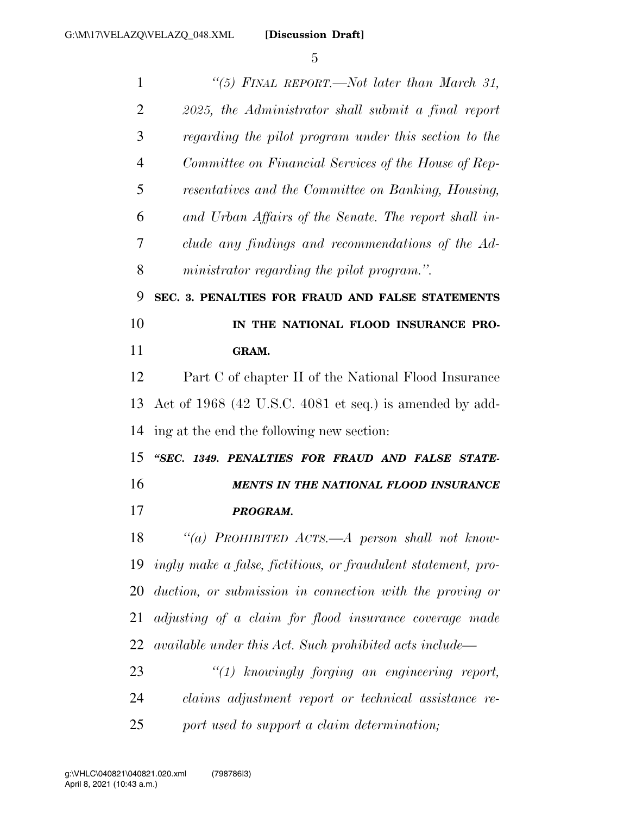| $\mathbf{1}$   | "(5) FINAL REPORT.—Not later than March 31,                   |
|----------------|---------------------------------------------------------------|
| $\overline{2}$ | 2025, the Administrator shall submit a final report           |
| 3              | regarding the pilot program under this section to the         |
| 4              | Committee on Financial Services of the House of Rep-          |
| 5              | resentatives and the Committee on Banking, Housing,           |
| 6              | and Urban Affairs of the Senate. The report shall in-         |
| 7              | clude any findings and recommendations of the Ad-             |
| 8              | ministrator regarding the pilot program.".                    |
| 9              | SEC. 3. PENALTIES FOR FRAUD AND FALSE STATEMENTS              |
| 10             | IN THE NATIONAL FLOOD INSURANCE PRO-                          |
| 11             | GRAM.                                                         |
| 12             | Part C of chapter II of the National Flood Insurance          |
| 13             | Act of 1968 (42 U.S.C. 4081 et seq.) is amended by add-       |
| 14             | ing at the end the following new section:                     |
| 15             | "SEC. 1349. PENALTIES FOR FRAUD AND FALSE STATE-              |
| 16             | <b>MENTS IN THE NATIONAL FLOOD INSURANCE</b>                  |
| 17             | PROGRAM.                                                      |
| 18             | "(a) PROHIBITED $Acrs.-A$ person shall not know-              |
| 19             | ingly make a false, fictitious, or fraudulent statement, pro- |
| 20             | duction, or submission in connection with the proving or      |
| 21             | adjusting of a claim for flood insurance coverage made        |
| 22             | available under this Act. Such prohibited acts include—       |
| 23             | $\lq(1)$ knowingly forging an engineering report,             |
| 24             | claims adjustment report or technical assistance re-          |
| 25             | port used to support a claim determination;                   |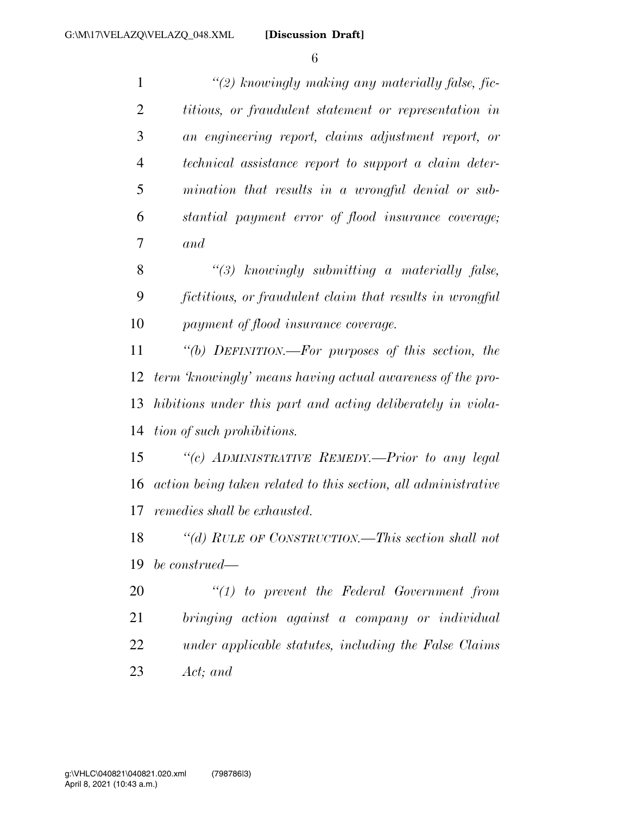| $\mathbf{1}$   | $\lq(2)$ knowingly making any materially false, fic-           |
|----------------|----------------------------------------------------------------|
| $\overline{2}$ | <i>titious, or fraudulent statement or representation in</i>   |
| 3              | an engineering report, claims adjustment report, or            |
| $\overline{4}$ | technical assistance report to support a claim deter-          |
| 5              | mination that results in a wrongful denial or sub-             |
| 6              | stantial payment error of flood insurance coverage;            |
| 7              | and                                                            |
| 8              | $\lq(3)$ knowingly submitting a materially false,              |
| 9              | fictitious, or fraudulent claim that results in wrongful       |
| 10             | payment of flood insurance coverage.                           |
| 11             | "(b) DEFINITION.—For purposes of this section, the             |
| 12             | term 'knowingly' means having actual awareness of the pro-     |
| 13             | hibitions under this part and acting deliberately in viola-    |
| 14             | tion of such prohibitions.                                     |
| 15             | "(c) ADMINISTRATIVE REMEDY.—Prior to any legal                 |
| 16             | action being taken related to this section, all administrative |
| 17             | remedies shall be exhausted.                                   |
| 18             | "(d) RULE OF CONSTRUCTION.—This section shall not              |
| 19             | be construed—                                                  |
| 20             | $\lq(1)$ to prevent the Federal Government from                |
| 21             | bringing action against a company or individual                |
| 22             | under applicable statutes, including the False Claims          |

*Act; and*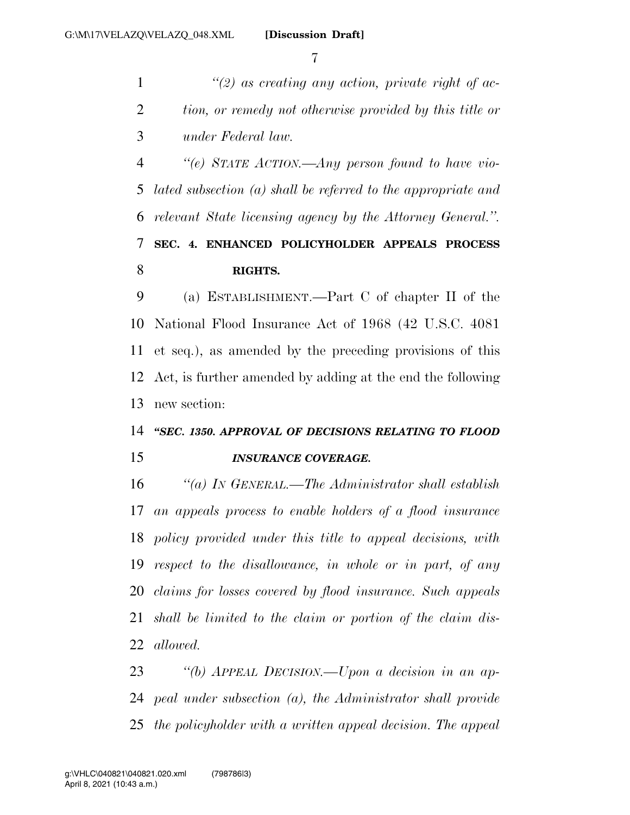*''(2) as creating any action, private right of ac- tion, or remedy not otherwise provided by this title or under Federal law.* 

 *''(e) STATE ACTION.—Any person found to have vio- lated subsection (a) shall be referred to the appropriate and relevant State licensing agency by the Attorney General.''.*  **SEC. 4. ENHANCED POLICYHOLDER APPEALS PROCESS RIGHTS.** 

 (a) ESTABLISHMENT.—Part C of chapter II of the National Flood Insurance Act of 1968 (42 U.S.C. 4081 et seq.), as amended by the preceding provisions of this Act, is further amended by adding at the end the following new section:

## *''SEC. 1350. APPROVAL OF DECISIONS RELATING TO FLOOD INSURANCE COVERAGE.*

 *''(a) IN GENERAL.—The Administrator shall establish an appeals process to enable holders of a flood insurance policy provided under this title to appeal decisions, with respect to the disallowance, in whole or in part, of any claims for losses covered by flood insurance. Such appeals shall be limited to the claim or portion of the claim dis-allowed.* 

 *''(b) APPEAL DECISION.—Upon a decision in an ap- peal under subsection (a), the Administrator shall provide the policyholder with a written appeal decision. The appeal*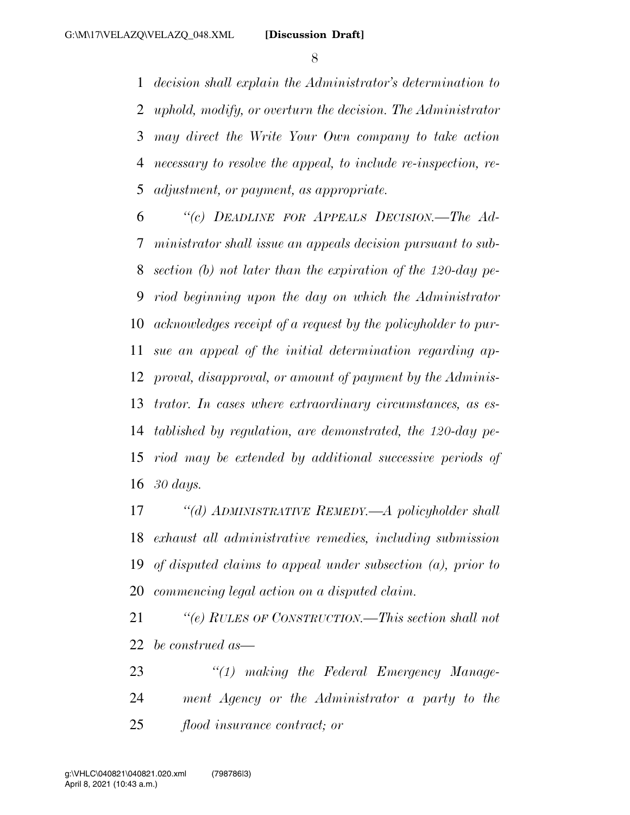*decision shall explain the Administrator's determination to uphold, modify, or overturn the decision. The Administrator may direct the Write Your Own company to take action necessary to resolve the appeal, to include re-inspection, re-adjustment, or payment, as appropriate.* 

 *''(c) DEADLINE FOR APPEALS DECISION.—The Ad- ministrator shall issue an appeals decision pursuant to sub- section (b) not later than the expiration of the 120-day pe- riod beginning upon the day on which the Administrator acknowledges receipt of a request by the policyholder to pur- sue an appeal of the initial determination regarding ap- proval, disapproval, or amount of payment by the Adminis- trator. In cases where extraordinary circumstances, as es- tablished by regulation, are demonstrated, the 120-day pe- riod may be extended by additional successive periods of 30 days.* 

 *''(d) ADMINISTRATIVE REMEDY.—A policyholder shall exhaust all administrative remedies, including submission of disputed claims to appeal under subsection (a), prior to commencing legal action on a disputed claim.* 

 *''(e) RULES OF CONSTRUCTION.—This section shall not be construed as—* 

 *''(1) making the Federal Emergency Manage- ment Agency or the Administrator a party to the flood insurance contract; or*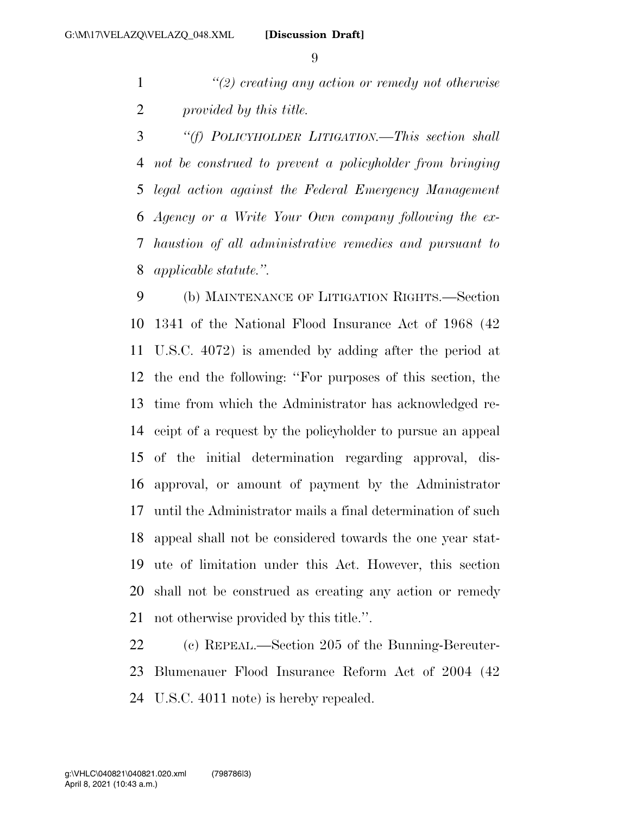*''(2) creating any action or remedy not otherwise provided by this title.* 

 *''(f) POLICYHOLDER LITIGATION.—This section shall not be construed to prevent a policyholder from bringing legal action against the Federal Emergency Management Agency or a Write Your Own company following the ex- haustion of all administrative remedies and pursuant to applicable statute.''.* 

 (b) MAINTENANCE OF LITIGATION RIGHTS.—Section 1341 of the National Flood Insurance Act of 1968 (42 U.S.C. 4072) is amended by adding after the period at the end the following: ''For purposes of this section, the time from which the Administrator has acknowledged re- ceipt of a request by the policyholder to pursue an appeal of the initial determination regarding approval, dis- approval, or amount of payment by the Administrator until the Administrator mails a final determination of such appeal shall not be considered towards the one year stat- ute of limitation under this Act. However, this section shall not be construed as creating any action or remedy not otherwise provided by this title.''.

 (c) REPEAL.—Section 205 of the Bunning-Bereuter- Blumenauer Flood Insurance Reform Act of 2004 (42 U.S.C. 4011 note) is hereby repealed.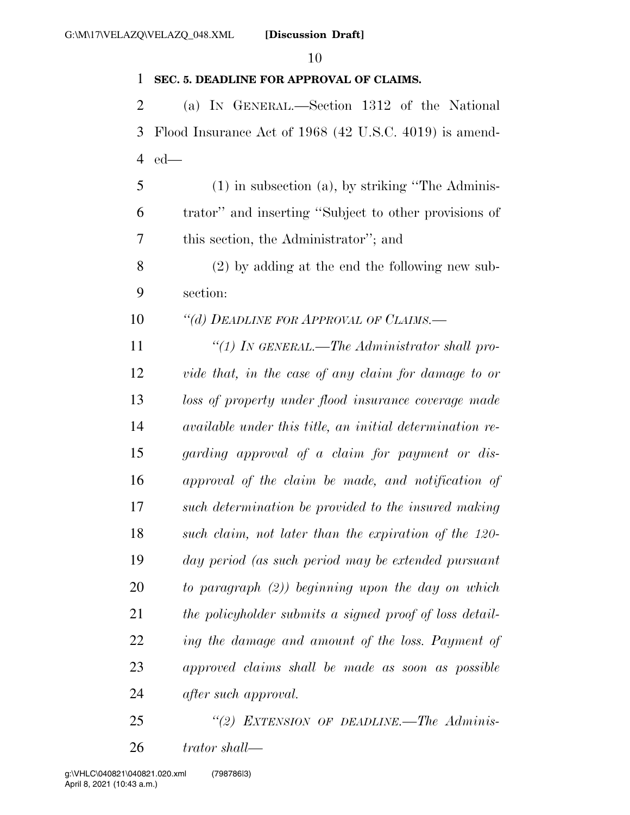## **SEC. 5. DEADLINE FOR APPROVAL OF CLAIMS.**  (a) IN GENERAL.—Section 1312 of the National Flood Insurance Act of 1968 (42 U.S.C. 4019) is amend- ed— (1) in subsection (a), by striking ''The Adminis- trator'' and inserting ''Subject to other provisions of this section, the Administrator''; and (2) by adding at the end the following new sub- section: *''(d) DEADLINE FOR APPROVAL OF CLAIMS.— ''(1) IN GENERAL.—The Administrator shall pro- vide that, in the case of any claim for damage to or loss of property under flood insurance coverage made available under this title, an initial determination re- garding approval of a claim for payment or dis- approval of the claim be made, and notification of such determination be provided to the insured making such claim, not later than the expiration of the 120- day period (as such period may be extended pursuant to paragraph (2)) beginning upon the day on which the policyholder submits a signed proof of loss detail- ing the damage and amount of the loss. Payment of approved claims shall be made as soon as possible after such approval.*

 *''(2) EXTENSION OF DEADLINE.—The Adminis-trator shall—*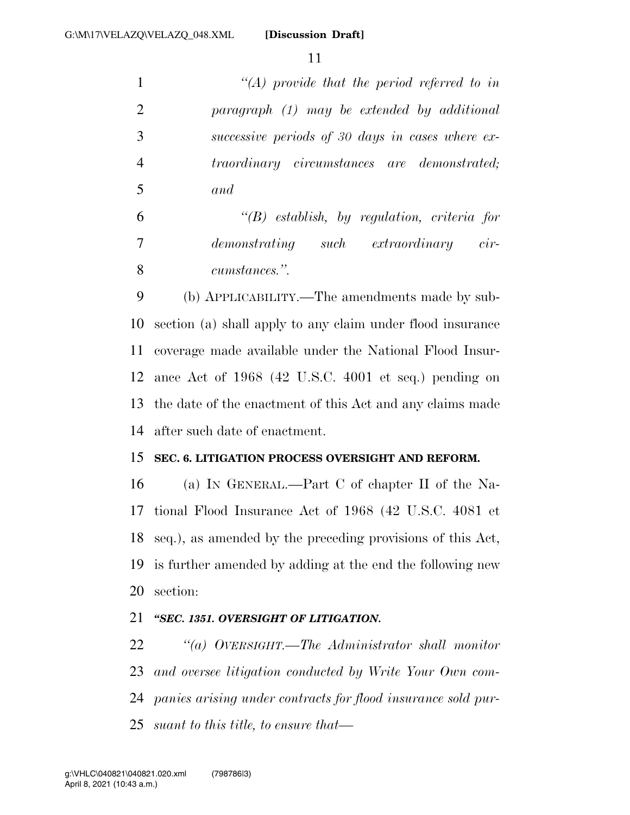**[Discussion Draft]** 

 *''(A) provide that the period referred to in paragraph (1) may be extended by additional successive periods of 30 days in cases where ex- traordinary circumstances are demonstrated; and* 

 *''(B) establish, by regulation, criteria for demonstrating such extraordinary cir-cumstances.''.* 

 (b) APPLICABILITY.—The amendments made by sub- section (a) shall apply to any claim under flood insurance coverage made available under the National Flood Insur- ance Act of 1968 (42 U.S.C. 4001 et seq.) pending on the date of the enactment of this Act and any claims made after such date of enactment.

#### **SEC. 6. LITIGATION PROCESS OVERSIGHT AND REFORM.**

 (a) IN GENERAL.—Part C of chapter II of the Na- tional Flood Insurance Act of 1968 (42 U.S.C. 4081 et seq.), as amended by the preceding provisions of this Act, is further amended by adding at the end the following new section:

#### *''SEC. 1351. OVERSIGHT OF LITIGATION.*

 *''(a) OVERSIGHT.—The Administrator shall monitor and oversee litigation conducted by Write Your Own com- panies arising under contracts for flood insurance sold pur-suant to this title, to ensure that—*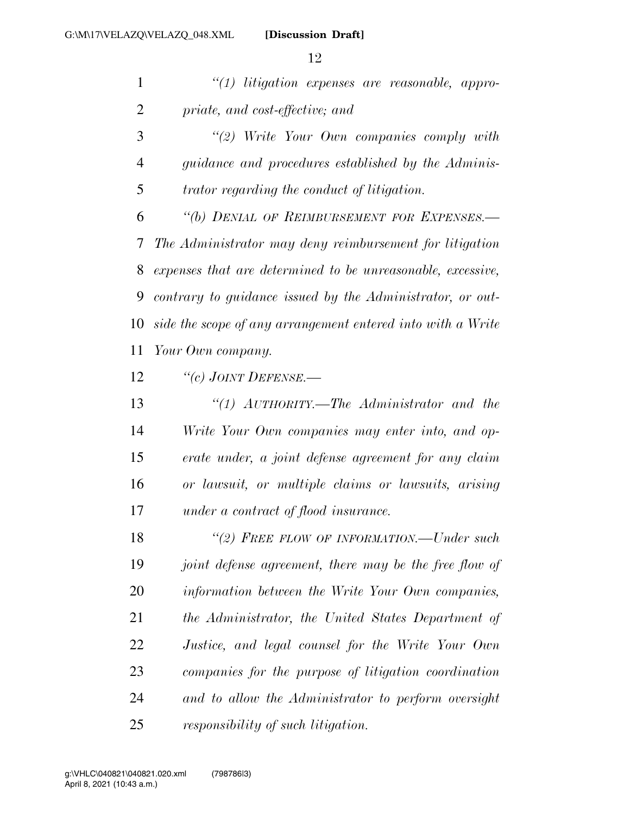*''(1) litigation expenses are reasonable, appro-priate, and cost-effective; and* 

 *''(2) Write Your Own companies comply with guidance and procedures established by the Adminis-trator regarding the conduct of litigation.* 

 *''(b) DENIAL OF REIMBURSEMENT FOR EXPENSES.— The Administrator may deny reimbursement for litigation expenses that are determined to be unreasonable, excessive, contrary to guidance issued by the Administrator, or out- side the scope of any arrangement entered into with a Write Your Own company.* 

*''(c) JOINT DEFENSE.—* 

 *''(1) AUTHORITY.—The Administrator and the Write Your Own companies may enter into, and op- erate under, a joint defense agreement for any claim or lawsuit, or multiple claims or lawsuits, arising under a contract of flood insurance.* 

 *''(2) FREE FLOW OF INFORMATION.—Under such joint defense agreement, there may be the free flow of information between the Write Your Own companies, the Administrator, the United States Department of Justice, and legal counsel for the Write Your Own companies for the purpose of litigation coordination and to allow the Administrator to perform oversight responsibility of such litigation.*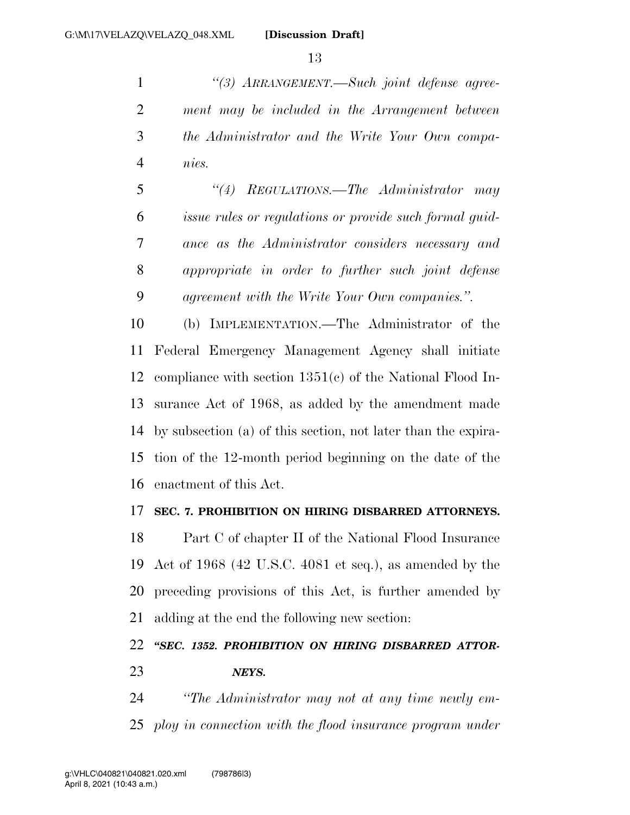*''(3) ARRANGEMENT.—Such joint defense agree- ment may be included in the Arrangement between the Administrator and the Write Your Own compa-nies.* 

 *''(4) REGULATIONS.—The Administrator may issue rules or regulations or provide such formal guid- ance as the Administrator considers necessary and appropriate in order to further such joint defense agreement with the Write Your Own companies.''.* 

 (b) IMPLEMENTATION.—The Administrator of the Federal Emergency Management Agency shall initiate compliance with section 1351(c) of the National Flood In- surance Act of 1968, as added by the amendment made by subsection (a) of this section, not later than the expira- tion of the 12-month period beginning on the date of the enactment of this Act.

#### **SEC. 7. PROHIBITION ON HIRING DISBARRED ATTORNEYS.**

 Part C of chapter II of the National Flood Insurance Act of 1968 (42 U.S.C. 4081 et seq.), as amended by the preceding provisions of this Act, is further amended by adding at the end the following new section:

## *''SEC. 1352. PROHIBITION ON HIRING DISBARRED ATTOR-NEYS.*

 *''The Administrator may not at any time newly em-ploy in connection with the flood insurance program under*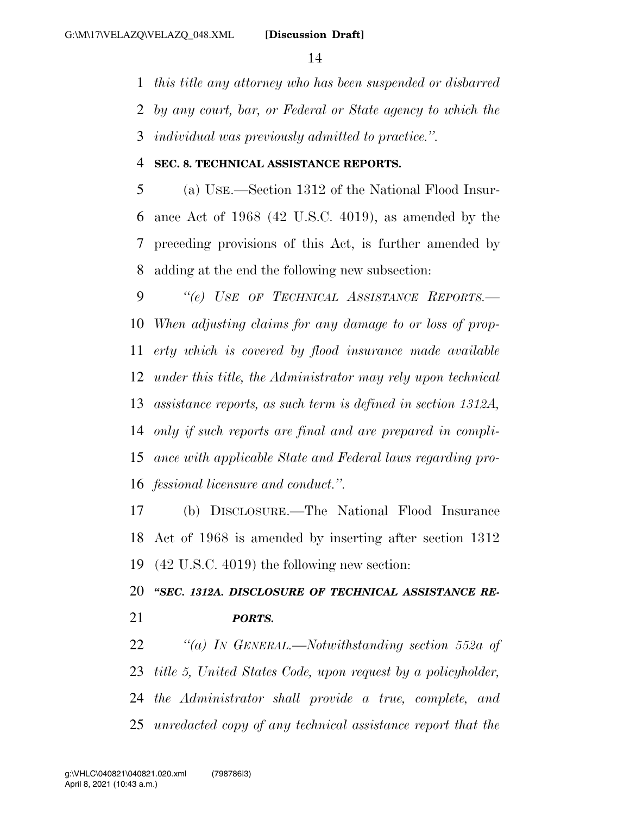*this title any attorney who has been suspended or disbarred* 

*by any court, bar, or Federal or State agency to which the* 

*individual was previously admitted to practice.''.* 

#### **SEC. 8. TECHNICAL ASSISTANCE REPORTS.**

 (a) USE.—Section 1312 of the National Flood Insur- ance Act of 1968 (42 U.S.C. 4019), as amended by the preceding provisions of this Act, is further amended by adding at the end the following new subsection:

 *''(e) USE OF TECHNICAL ASSISTANCE REPORTS.— When adjusting claims for any damage to or loss of prop- erty which is covered by flood insurance made available under this title, the Administrator may rely upon technical assistance reports, as such term is defined in section 1312A, only if such reports are final and are prepared in compli- ance with applicable State and Federal laws regarding pro-fessional licensure and conduct.''.* 

 (b) DISCLOSURE.—The National Flood Insurance Act of 1968 is amended by inserting after section 1312 (42 U.S.C. 4019) the following new section:

 *''SEC. 1312A. DISCLOSURE OF TECHNICAL ASSISTANCE RE-PORTS.* 

 *''(a) IN GENERAL.—Notwithstanding section 552a of title 5, United States Code, upon request by a policyholder, the Administrator shall provide a true, complete, and unredacted copy of any technical assistance report that the*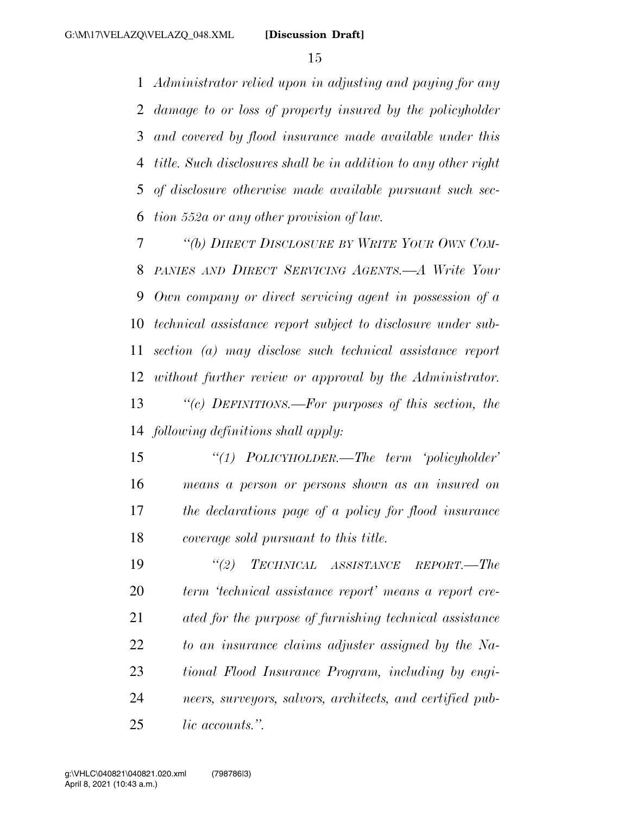*Administrator relied upon in adjusting and paying for any damage to or loss of property insured by the policyholder and covered by flood insurance made available under this title. Such disclosures shall be in addition to any other right of disclosure otherwise made available pursuant such sec-tion 552a or any other provision of law.* 

 *''(b) DIRECT DISCLOSURE BY WRITE YOUR OWN COM- PANIES AND DIRECT SERVICING AGENTS.—A Write Your Own company or direct servicing agent in possession of a technical assistance report subject to disclosure under sub- section (a) may disclose such technical assistance report without further review or approval by the Administrator. ''(c) DEFINITIONS.—For purposes of this section, the following definitions shall apply:* 

 *''(1) POLICYHOLDER.—The term 'policyholder' means a person or persons shown as an insured on the declarations page of a policy for flood insurance coverage sold pursuant to this title.* 

 *''(2) TECHNICAL ASSISTANCE REPORT.—The term 'technical assistance report' means a report cre- ated for the purpose of furnishing technical assistance to an insurance claims adjuster assigned by the Na- tional Flood Insurance Program, including by engi- neers, surveyors, salvors, architects, and certified pub-lic accounts.''.*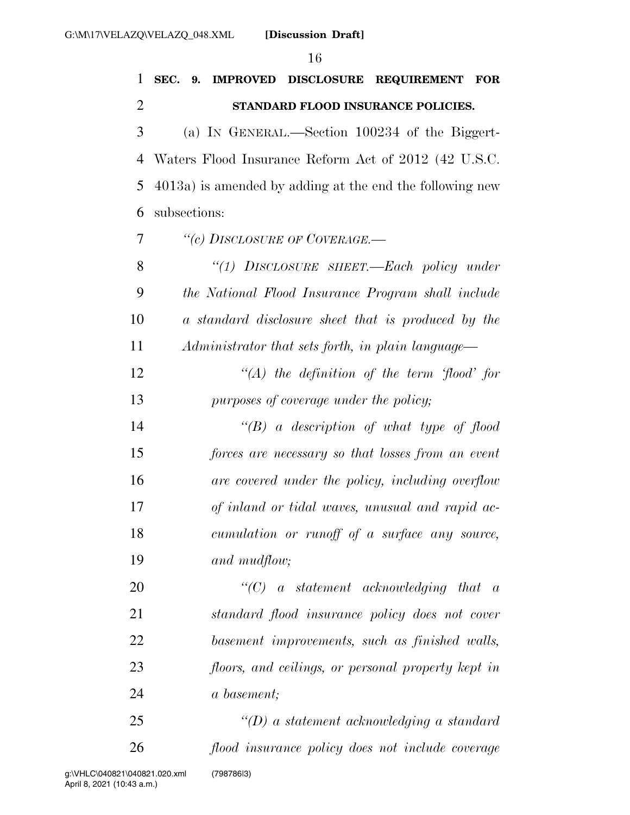| 1              | SEC. 9.<br>IMPROVED DISCLOSURE REQUIREMENT<br>$\bf FOR$     |
|----------------|-------------------------------------------------------------|
| $\overline{2}$ | STANDARD FLOOD INSURANCE POLICIES.                          |
| 3              | (a) IN GENERAL.—Section 100234 of the Biggert-              |
| 4              | Waters Flood Insurance Reform Act of 2012 (42 U.S.C.        |
| 5              | $4013a$ ) is amended by adding at the end the following new |
| 6              | subsections:                                                |
| 7              | "(c) DISCLOSURE OF COVERAGE.—                               |
| 8              | "(1) DISCLOSURE SHEET.—Each policy under                    |
| 9              | the National Flood Insurance Program shall include          |
| 10             | a standard disclosure sheet that is produced by the         |
| 11             | Administrator that sets forth, in plain language—           |
| 12             | $\lq (A)$ the definition of the term 'flood' for            |
| 13             | purposes of coverage under the policy;                      |
| 14             | $\lq\lq(B)$ a description of what type of flood             |
| 15             | forces are necessary so that losses from an event           |
| 16             | are covered under the policy, including overflow            |
| 17             | of inland or tidal waves, unusual and rapid ac-             |
| 18             | cumulation or runoff of a surface any source,               |
| 19             | and mudflow;                                                |
| 20             | $\lq\lq C$ a statement acknowledging that a                 |
| 21             | standard flood insurance policy does not cover              |
| 22             | basement improvements, such as finished walls,              |
| 23             | floors, and ceilings, or personal property kept in          |
| 24             | a basement;                                                 |
| 25             | $\lq (D)$ a statement acknowledging a standard              |
| 26             | flood insurance policy does not include coverage            |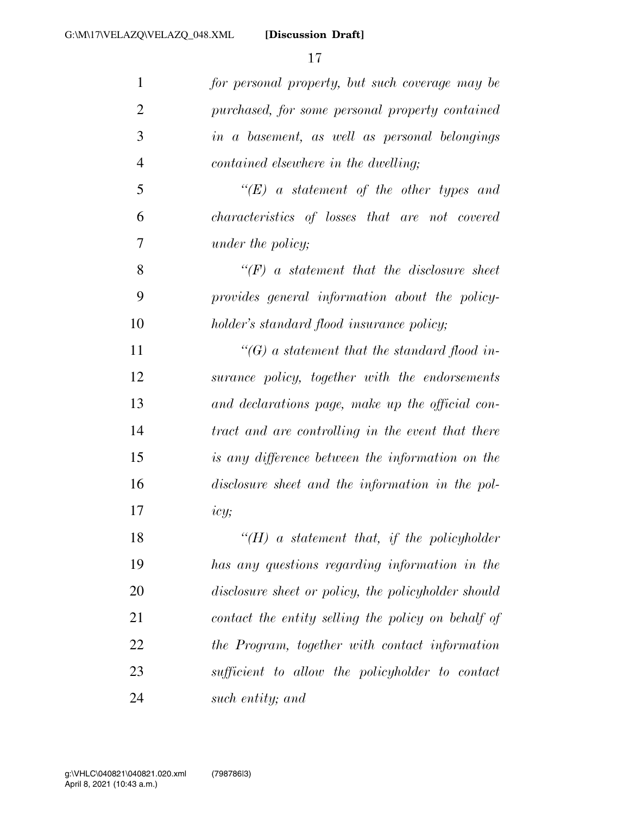**[Discussion Draft]** 

| $\mathbf{1}$   | for personal property, but such coverage may be     |
|----------------|-----------------------------------------------------|
| $\overline{2}$ | purchased, for some personal property contained     |
| 3              | in a basement, as well as personal belongings       |
| $\overline{4}$ | contained elsewhere in the dwelling;                |
| 5              | $\lq\lq (E)$ a statement of the other types and     |
| 6              | characteristics of losses that are not covered      |
| 7              | under the policy;                                   |
| 8              | $\lq\lq(F)$ a statement that the disclosure sheet   |
| 9              | provides general information about the policy-      |
| 10             | holder's standard flood insurance policy;           |
| 11             | $\lq\lq(G)$ a statement that the standard flood in- |
| 12             | surance policy, together with the endorsements      |
| 13             | and declarations page, make up the official con-    |
| 14             | tract and are controlling in the event that there   |
| 15             | is any difference between the information on the    |
| 16             | disclosure sheet and the information in the pol-    |
| 17             | icy;                                                |
| 18             | "( $H$ ) a statement that, if the policyholder      |
| 19             | has any questions regarding information in the      |
| 20             | disclosure sheet or policy, the policyholder should |
| 21             | contact the entity selling the policy on behalf of  |
| 22             | the Program, together with contact information      |
| 23             | sufficient to allow the policyholder to contact     |
| 24             | such entity; and                                    |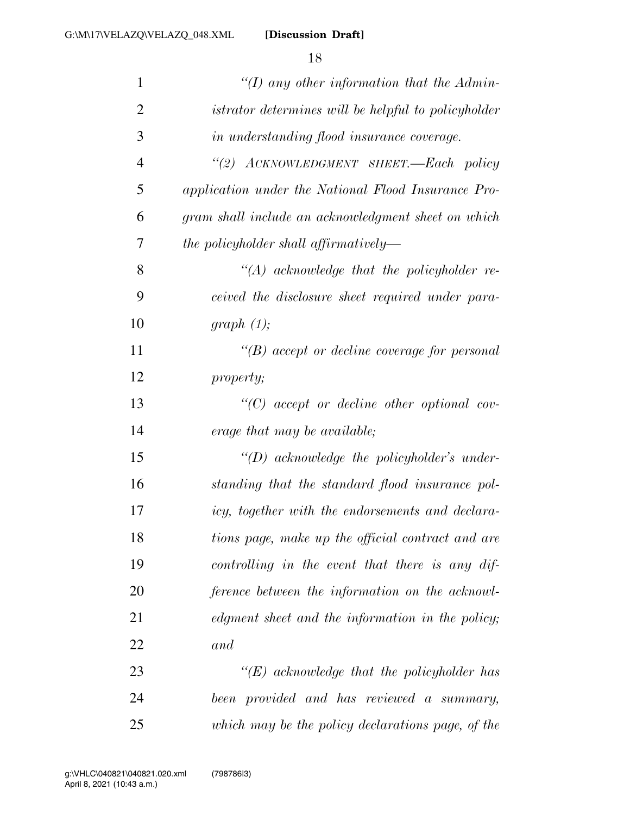**[Discussion Draft]** 

| $\mathbf{1}$   | "(I) any other information that the Admin-          |
|----------------|-----------------------------------------------------|
| $\overline{2}$ | istrator determines will be helpful to policyholder |
| 3              | in understanding flood insurance coverage.          |
| $\overline{4}$ | "(2) ACKNOWLEDGMENT SHEET.-Each policy              |
| 5              | application under the National Flood Insurance Pro- |
| 6              | gram shall include an acknowledgment sheet on which |
| 7              | the policyholder shall affirmatively—               |
| 8              | $\lq\lq (A)$ acknowledge that the policyholder re-  |
| 9              | ceived the disclosure sheet required under para-    |
| 10             | graph(1);                                           |
| 11             | $\lq\lq(B)$ accept or decline coverage for personal |
| 12             | <i>property;</i>                                    |
| 13             | $\lq\lq C$ accept or decline other optional cov-    |
| 14             | erage that may be available;                        |
| 15             | $\lq\lq(D)$ acknowledge the policyholder's under-   |
| 16             | standing that the standard flood insurance pol-     |
| 17             | icy, together with the endorsements and declara-    |
| 18             | tions page, make up the official contract and are   |
| 19             | controlling in the event that there is any dif-     |
| 20             | ference between the information on the acknowl-     |
| 21             | edgment sheet and the information in the policy;    |
| 22             | and                                                 |
| 23             | $\lq\lq (E)$ acknowledge that the policyholder has  |
| 24             | been provided and has reviewed a summary,           |
| 25             | which may be the policy declarations page, of the   |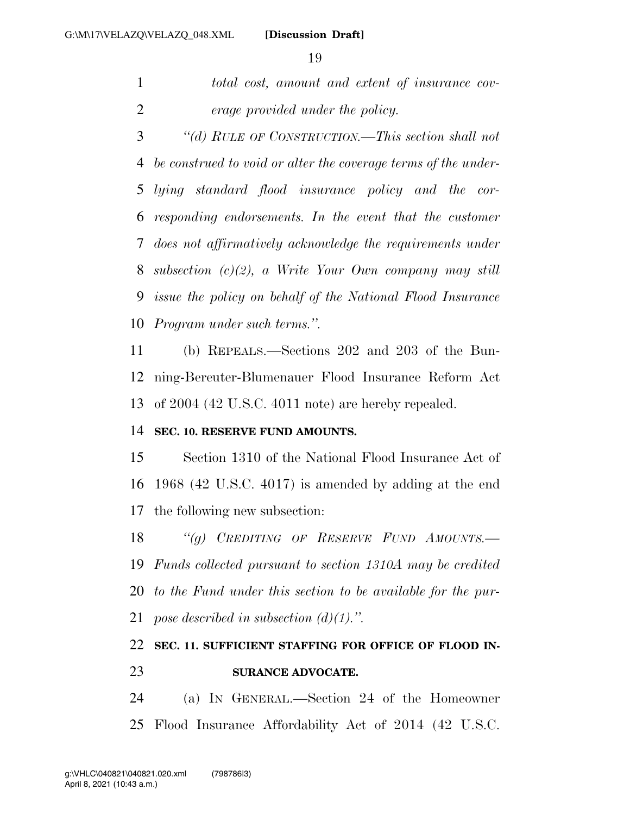*total cost, amount and extent of insurance cov-erage provided under the policy.* 

 *''(d) RULE OF CONSTRUCTION.—This section shall not be construed to void or alter the coverage terms of the under- lying standard flood insurance policy and the cor- responding endorsements. In the event that the customer does not affirmatively acknowledge the requirements under subsection (c)(2), a Write Your Own company may still issue the policy on behalf of the National Flood Insurance Program under such terms.''.* 

 (b) REPEALS.—Sections 202 and 203 of the Bun- ning-Bereuter-Blumenauer Flood Insurance Reform Act of 2004 (42 U.S.C. 4011 note) are hereby repealed.

#### **SEC. 10. RESERVE FUND AMOUNTS.**

 Section 1310 of the National Flood Insurance Act of 1968 (42 U.S.C. 4017) is amended by adding at the end the following new subsection:

 *''(g) CREDITING OF RESERVE FUND AMOUNTS.— Funds collected pursuant to section 1310A may be credited to the Fund under this section to be available for the pur-pose described in subsection (d)(1).''.* 

### **SEC. 11. SUFFICIENT STAFFING FOR OFFICE OF FLOOD IN-SURANCE ADVOCATE.**

 (a) IN GENERAL.—Section 24 of the Homeowner Flood Insurance Affordability Act of 2014 (42 U.S.C.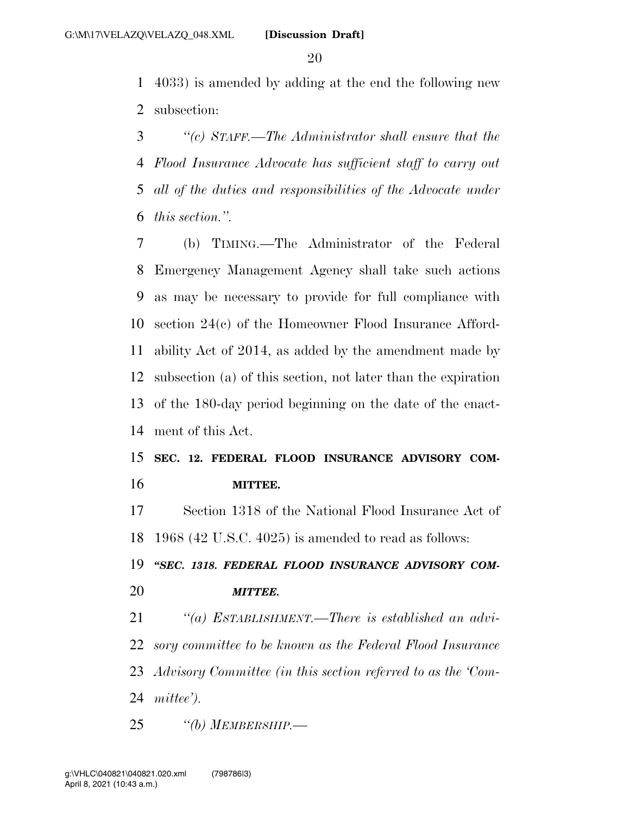4033) is amended by adding at the end the following new subsection:

 *''(c) STAFF.—The Administrator shall ensure that the Flood Insurance Advocate has sufficient staff to carry out all of the duties and responsibilities of the Advocate under this section.''.* 

 (b) TIMING.—The Administrator of the Federal Emergency Management Agency shall take such actions as may be necessary to provide for full compliance with section 24(c) of the Homeowner Flood Insurance Afford- ability Act of 2014, as added by the amendment made by subsection (a) of this section, not later than the expiration of the 180-day period beginning on the date of the enact-ment of this Act.

## **SEC. 12. FEDERAL FLOOD INSURANCE ADVISORY COM-MITTEE.**

 Section 1318 of the National Flood Insurance Act of 1968 (42 U.S.C. 4025) is amended to read as follows:

 *''SEC. 1318. FEDERAL FLOOD INSURANCE ADVISORY COM-MITTEE.* 

 *''(a) ESTABLISHMENT.—There is established an advi- sory committee to be known as the Federal Flood Insurance Advisory Committee (in this section referred to as the 'Com-mittee').* 

*''(b) MEMBERSHIP.—*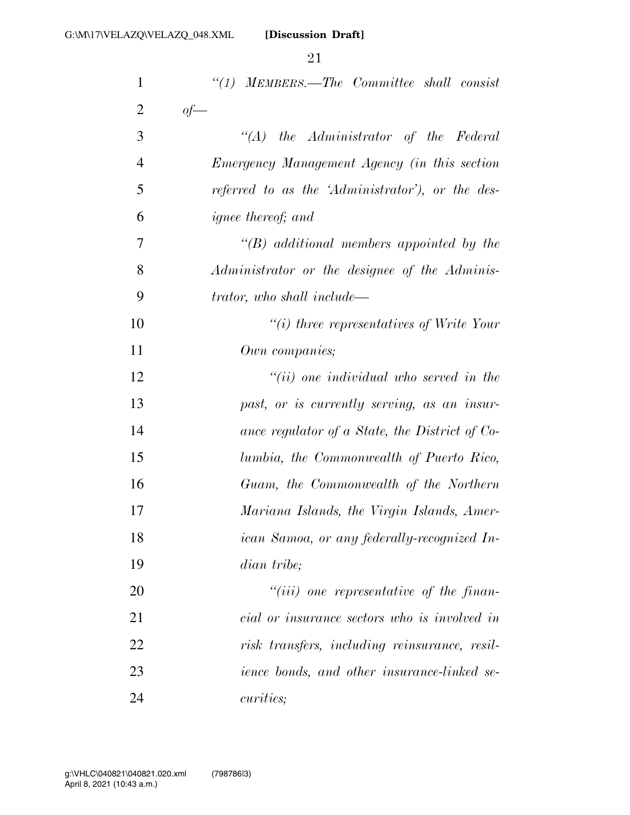| 1              | "(1) MEMBERS.—The Committee shall consist           |
|----------------|-----------------------------------------------------|
| $\overline{2}$ | $of$ —                                              |
| 3              | $\lq (A)$ the Administrator of the Federal          |
| $\overline{4}$ | <i>Emergency Management Agency (in this section</i> |
| 5              | referred to as the 'Administrator'), or the des-    |
| 6              | <i>ignee thereof; and</i>                           |
| $\overline{7}$ | $\lq\lq(B)$ additional members appointed by the     |
| 8              | Administrator or the designee of the Adminis-       |
| 9              | trator, who shall include—                          |
| 10             | $\lq\lq(i)$ three representatives of Write Your     |
| 11             | Own companies;                                      |
| 12             | $``(ii)$ one individual who served in the           |
| 13             | past, or is currently serving, as an insur-         |
| 14             | ance regulator of a State, the District of Co-      |
| 15             | lumbia, the Commonwealth of Puerto Rico,            |
| 16             | Guam, the Commonwealth of the Northern              |
| 17             | Mariana Islands, the Virgin Islands, Amer-          |
| 18             | ican Samoa, or any federally-recognized In-         |
| 19             | dian tribe;                                         |
| 20             | $``(iii)$ one representative of the finan-          |
| 21             | cial or insurance sectors who is involved in        |
| 22             | risk transfers, including reinsurance, resil-       |
| 23             | <i>ience bonds, and other insurance-linked se-</i>  |
| 24             | <i>curities</i> ;                                   |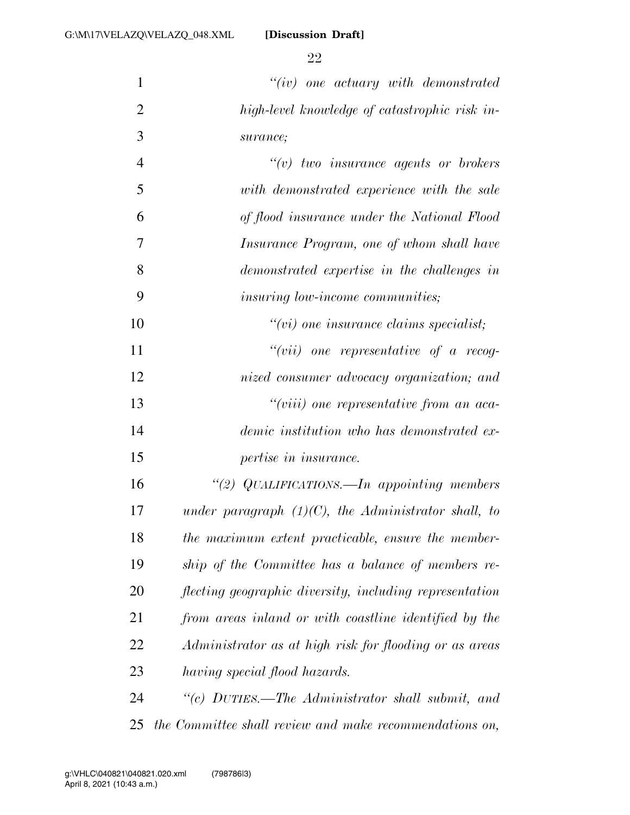**[Discussion Draft]** 

 *''(iv) one actuary with demonstrated high-level knowledge of catastrophic risk in- surance; ''(v) two insurance agents or brokers with demonstrated experience with the sale* 

| 6                                            | of flood insurance under the National Flood      |
|----------------------------------------------|--------------------------------------------------|
| 7                                            | <i>Insurance Program, one of whom shall have</i> |
| 8                                            | demonstrated expertise in the challenges in      |
| 9<br><i>insuring low-income communities;</i> |                                                  |

 *''(vii) one representative of a recog- nized consumer advocacy organization; and ''(viii) one representative from an aca- demic institution who has demonstrated ex-pertise in insurance.* 

*''(vi) one insurance claims specialist;* 

 *''(2) QUALIFICATIONS.—In appointing members under paragraph (1)(C), the Administrator shall, to the maximum extent practicable, ensure the member- ship of the Committee has a balance of members re- flecting geographic diversity, including representation from areas inland or with coastline identified by the Administrator as at high risk for flooding or as areas having special flood hazards.* 

 *''(c) DUTIES.—The Administrator shall submit, and the Committee shall review and make recommendations on,*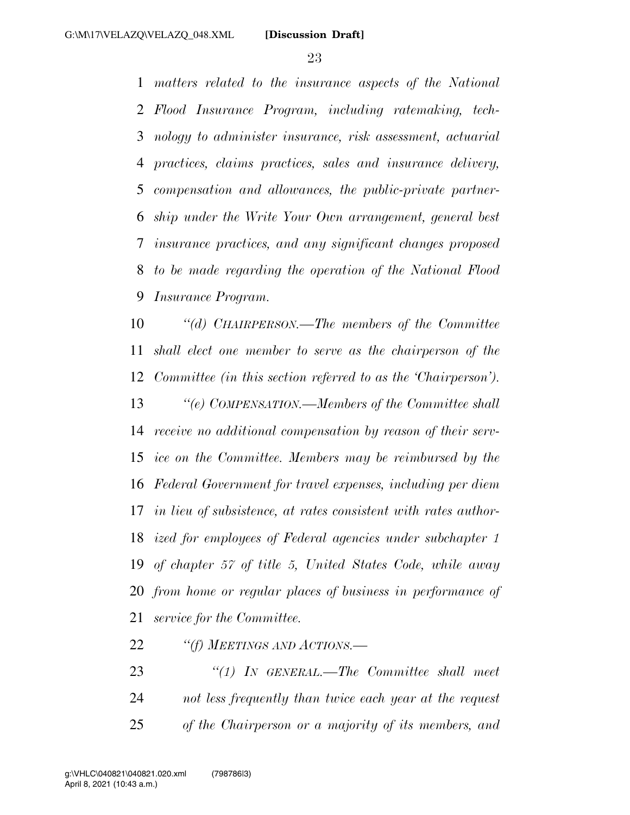*matters related to the insurance aspects of the National Flood Insurance Program, including ratemaking, tech- nology to administer insurance, risk assessment, actuarial practices, claims practices, sales and insurance delivery, compensation and allowances, the public-private partner- ship under the Write Your Own arrangement, general best insurance practices, and any significant changes proposed to be made regarding the operation of the National Flood Insurance Program.* 

 *''(d) CHAIRPERSON.—The members of the Committee shall elect one member to serve as the chairperson of the Committee (in this section referred to as the 'Chairperson'). ''(e) COMPENSATION.—Members of the Committee shall receive no additional compensation by reason of their serv- ice on the Committee. Members may be reimbursed by the Federal Government for travel expenses, including per diem in lieu of subsistence, at rates consistent with rates author- ized for employees of Federal agencies under subchapter 1 of chapter 57 of title 5, United States Code, while away from home or regular places of business in performance of service for the Committee.* 

*''(f) MEETINGS AND ACTIONS.—* 

 *''(1) IN GENERAL.—The Committee shall meet not less frequently than twice each year at the request of the Chairperson or a majority of its members, and*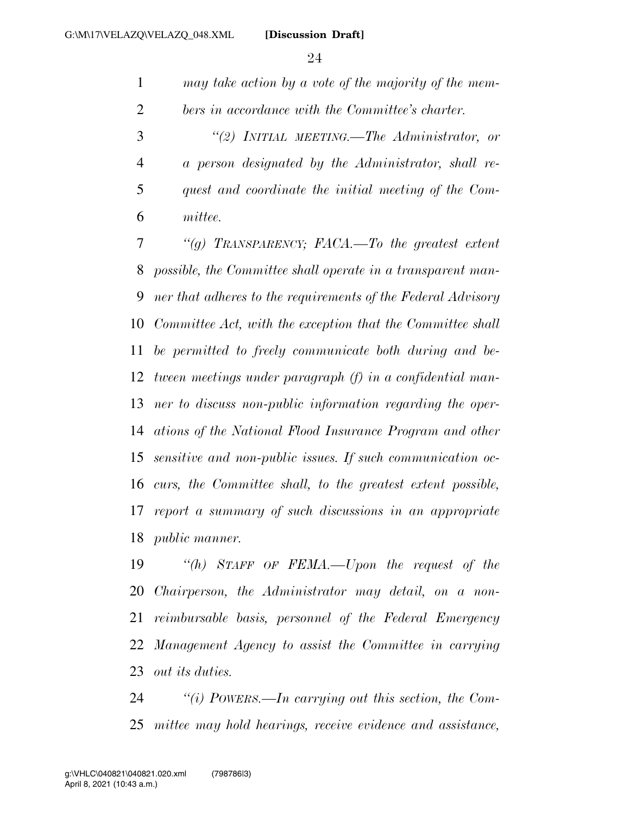*may take action by a vote of the majority of the mem-bers in accordance with the Committee's charter.* 

 *''(2) INITIAL MEETING.—The Administrator, or a person designated by the Administrator, shall re- quest and coordinate the initial meeting of the Com-mittee.* 

 *''(g) TRANSPARENCY; FACA.—To the greatest extent possible, the Committee shall operate in a transparent man- ner that adheres to the requirements of the Federal Advisory Committee Act, with the exception that the Committee shall be permitted to freely communicate both during and be- tween meetings under paragraph (f) in a confidential man- ner to discuss non-public information regarding the oper- ations of the National Flood Insurance Program and other sensitive and non-public issues. If such communication oc- curs, the Committee shall, to the greatest extent possible, report a summary of such discussions in an appropriate public manner.* 

 *''(h) STAFF OF FEMA.—Upon the request of the Chairperson, the Administrator may detail, on a non- reimbursable basis, personnel of the Federal Emergency Management Agency to assist the Committee in carrying out its duties.* 

 *''(i) POWERS.—In carrying out this section, the Com-mittee may hold hearings, receive evidence and assistance,*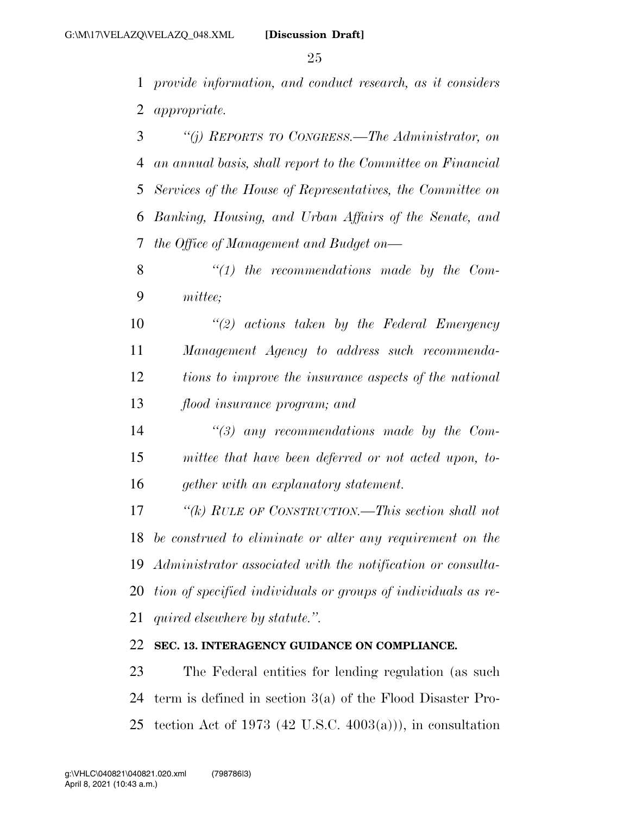*provide information, and conduct research, as it considers appropriate.* 

 *''(j) REPORTS TO CONGRESS.—The Administrator, on an annual basis, shall report to the Committee on Financial Services of the House of Representatives, the Committee on Banking, Housing, and Urban Affairs of the Senate, and the Office of Management and Budget on—* 

 *''(1) the recommendations made by the Com-mittee;* 

 *''(2) actions taken by the Federal Emergency Management Agency to address such recommenda- tions to improve the insurance aspects of the national flood insurance program; and* 

 *''(3) any recommendations made by the Com- mittee that have been deferred or not acted upon, to-gether with an explanatory statement.* 

 *''(k) RULE OF CONSTRUCTION.—This section shall not be construed to eliminate or alter any requirement on the Administrator associated with the notification or consulta- tion of specified individuals or groups of individuals as re-quired elsewhere by statute.''.* 

#### **SEC. 13. INTERAGENCY GUIDANCE ON COMPLIANCE.**

 The Federal entities for lending regulation (as such term is defined in section 3(a) of the Flood Disaster Pro-25 tection Act of 1973 (42 U.S.C.  $4003(a)$ )), in consultation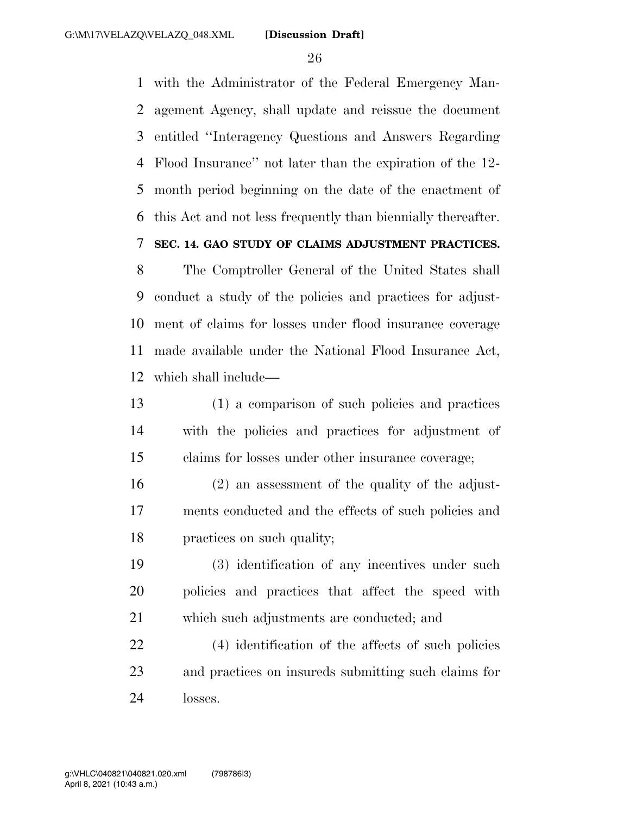with the Administrator of the Federal Emergency Man- agement Agency, shall update and reissue the document entitled ''Interagency Questions and Answers Regarding Flood Insurance'' not later than the expiration of the 12- month period beginning on the date of the enactment of this Act and not less frequently than biennially thereafter. **SEC. 14. GAO STUDY OF CLAIMS ADJUSTMENT PRACTICES.** 

 The Comptroller General of the United States shall conduct a study of the policies and practices for adjust- ment of claims for losses under flood insurance coverage made available under the National Flood Insurance Act, which shall include—

 (1) a comparison of such policies and practices with the policies and practices for adjustment of claims for losses under other insurance coverage;

 (2) an assessment of the quality of the adjust- ments conducted and the effects of such policies and practices on such quality;

 (3) identification of any incentives under such policies and practices that affect the speed with which such adjustments are conducted; and

 (4) identification of the affects of such policies and practices on insureds submitting such claims for losses.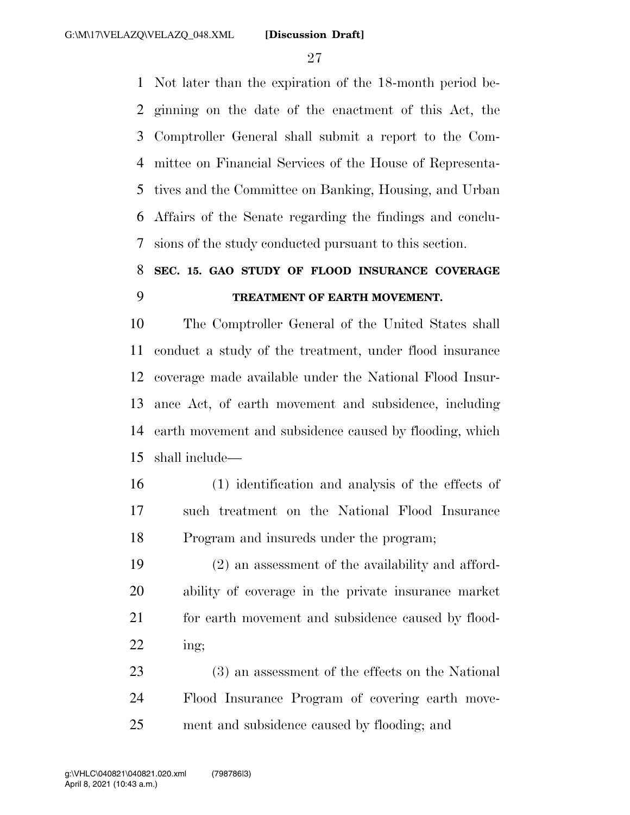Not later than the expiration of the 18-month period be- ginning on the date of the enactment of this Act, the Comptroller General shall submit a report to the Com- mittee on Financial Services of the House of Representa- tives and the Committee on Banking, Housing, and Urban Affairs of the Senate regarding the findings and conclu-sions of the study conducted pursuant to this section.

## **SEC. 15. GAO STUDY OF FLOOD INSURANCE COVERAGE TREATMENT OF EARTH MOVEMENT.**

 The Comptroller General of the United States shall conduct a study of the treatment, under flood insurance coverage made available under the National Flood Insur- ance Act, of earth movement and subsidence, including earth movement and subsidence caused by flooding, which shall include—

 (1) identification and analysis of the effects of such treatment on the National Flood Insurance Program and insureds under the program;

 (2) an assessment of the availability and afford- ability of coverage in the private insurance market 21 for earth movement and subsidence caused by flood-ing;

 (3) an assessment of the effects on the National Flood Insurance Program of covering earth move-ment and subsidence caused by flooding; and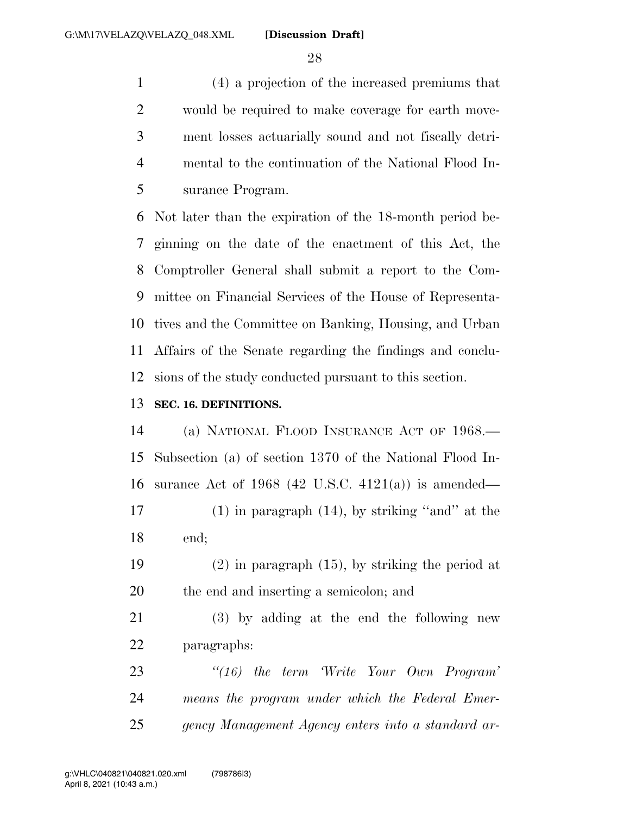(4) a projection of the increased premiums that would be required to make coverage for earth move- ment losses actuarially sound and not fiscally detri- mental to the continuation of the National Flood In-surance Program.

 Not later than the expiration of the 18-month period be- ginning on the date of the enactment of this Act, the Comptroller General shall submit a report to the Com- mittee on Financial Services of the House of Representa- tives and the Committee on Banking, Housing, and Urban Affairs of the Senate regarding the findings and conclu-sions of the study conducted pursuant to this section.

#### **SEC. 16. DEFINITIONS.**

 (a) NATIONAL FLOOD INSURANCE ACT OF 1968.— Subsection (a) of section 1370 of the National Flood In-surance Act of 1968 (42 U.S.C. 4121(a)) is amended—

 (1) in paragraph (14), by striking ''and'' at the end;

 (2) in paragraph (15), by striking the period at the end and inserting a semicolon; and

 (3) by adding at the end the following new paragraphs:

 *''(16) the term 'Write Your Own Program' means the program under which the Federal Emer-gency Management Agency enters into a standard ar-*